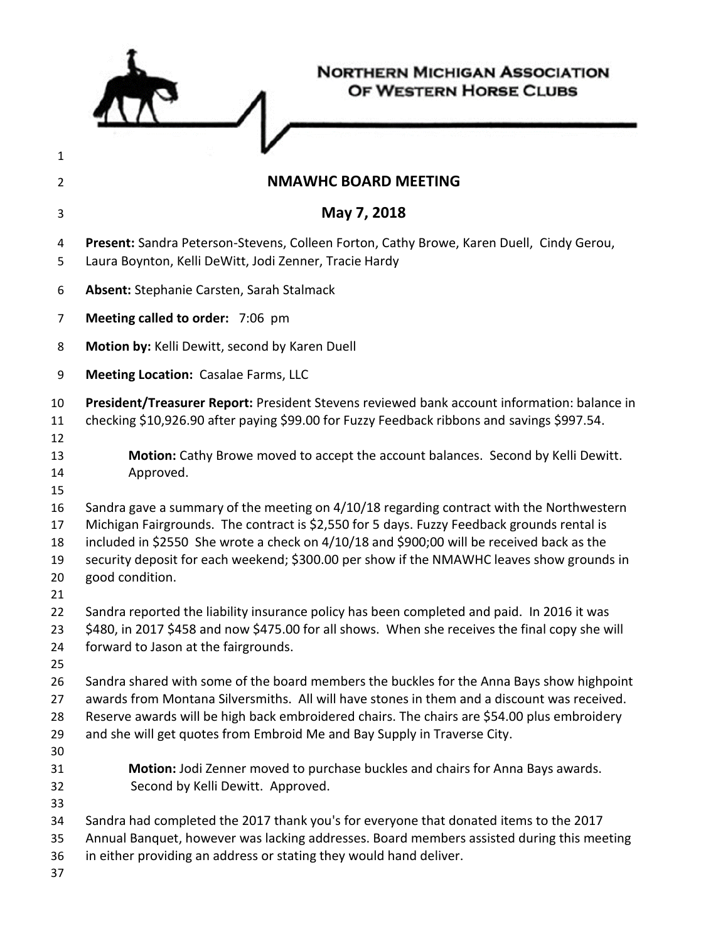|                                  | <b>NORTHERN MICHIGAN ASSOCIATION</b><br>OF WESTERN HORSE CLUBS                                                                                                                                                                                                                                                                                                                                      |
|----------------------------------|-----------------------------------------------------------------------------------------------------------------------------------------------------------------------------------------------------------------------------------------------------------------------------------------------------------------------------------------------------------------------------------------------------|
| 1                                |                                                                                                                                                                                                                                                                                                                                                                                                     |
| 2                                | <b>NMAWHC BOARD MEETING</b>                                                                                                                                                                                                                                                                                                                                                                         |
| 3                                | May 7, 2018                                                                                                                                                                                                                                                                                                                                                                                         |
| 4<br>5                           | Present: Sandra Peterson-Stevens, Colleen Forton, Cathy Browe, Karen Duell, Cindy Gerou,<br>Laura Boynton, Kelli DeWitt, Jodi Zenner, Tracie Hardy                                                                                                                                                                                                                                                  |
| 6                                | Absent: Stephanie Carsten, Sarah Stalmack                                                                                                                                                                                                                                                                                                                                                           |
| 7                                | Meeting called to order: 7:06 pm                                                                                                                                                                                                                                                                                                                                                                    |
| 8                                | Motion by: Kelli Dewitt, second by Karen Duell                                                                                                                                                                                                                                                                                                                                                      |
| 9                                | <b>Meeting Location: Casalae Farms, LLC</b>                                                                                                                                                                                                                                                                                                                                                         |
| 10<br>11<br>12                   | President/Treasurer Report: President Stevens reviewed bank account information: balance in<br>checking \$10,926.90 after paying \$99.00 for Fuzzy Feedback ribbons and savings \$997.54.                                                                                                                                                                                                           |
| 13<br>14<br>15                   | Motion: Cathy Browe moved to accept the account balances. Second by Kelli Dewitt.<br>Approved.                                                                                                                                                                                                                                                                                                      |
| 16<br>17<br>18<br>19<br>20<br>21 | Sandra gave a summary of the meeting on 4/10/18 regarding contract with the Northwestern<br>Michigan Fairgrounds. The contract is \$2,550 for 5 days. Fuzzy Feedback grounds rental is<br>included in \$2550 She wrote a check on 4/10/18 and \$900;00 will be received back as the<br>security deposit for each weekend; \$300.00 per show if the NMAWHC leaves show grounds in<br>good condition. |
| 22<br>23<br>24<br>25             | Sandra reported the liability insurance policy has been completed and paid. In 2016 it was<br>\$480, in 2017 \$458 and now \$475.00 for all shows. When she receives the final copy she will<br>forward to Jason at the fairgrounds.                                                                                                                                                                |
| 26<br>27<br>28<br>29<br>30       | Sandra shared with some of the board members the buckles for the Anna Bays show highpoint<br>awards from Montana Silversmiths. All will have stones in them and a discount was received.<br>Reserve awards will be high back embroidered chairs. The chairs are \$54.00 plus embroidery<br>and she will get quotes from Embroid Me and Bay Supply in Traverse City.                                 |
| 31<br>32<br>33                   | Motion: Jodi Zenner moved to purchase buckles and chairs for Anna Bays awards.<br>Second by Kelli Dewitt. Approved.                                                                                                                                                                                                                                                                                 |
| 34<br>35<br>36<br>37             | Sandra had completed the 2017 thank you's for everyone that donated items to the 2017<br>Annual Banquet, however was lacking addresses. Board members assisted during this meeting<br>in either providing an address or stating they would hand deliver.                                                                                                                                            |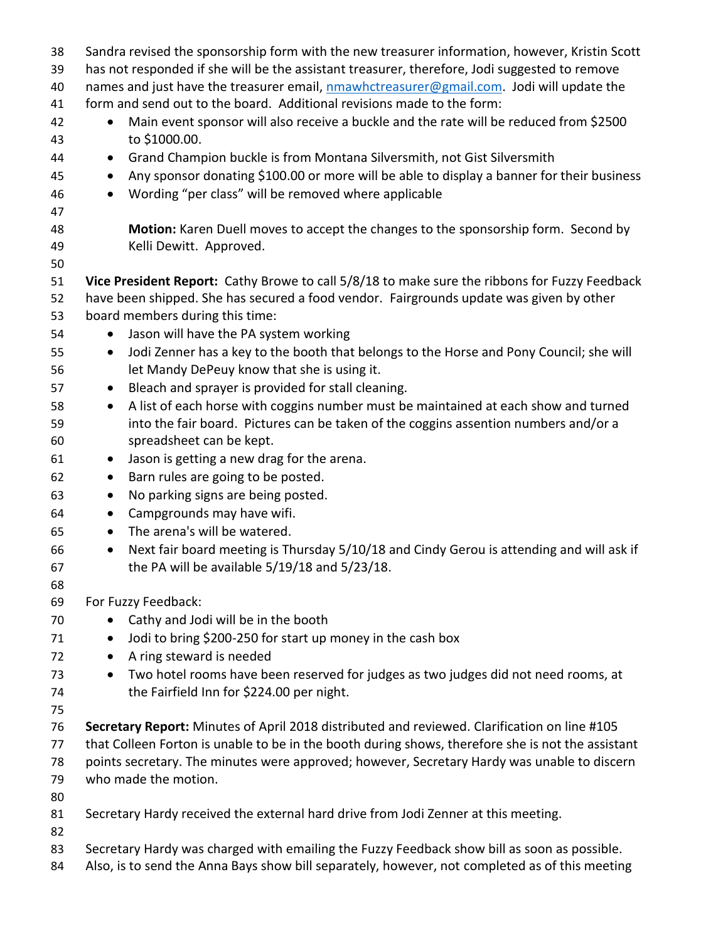| 38       | Sandra revised the sponsorship form with the new treasurer information, however, Kristin Scott          |
|----------|---------------------------------------------------------------------------------------------------------|
| 39       | has not responded if she will be the assistant treasurer, therefore, Jodi suggested to remove           |
| 40       | names and just have the treasurer email, nmawhctreasurer@gmail.com. Jodi will update the                |
| 41       | form and send out to the board. Additional revisions made to the form:                                  |
| 42<br>43 | Main event sponsor will also receive a buckle and the rate will be reduced from \$2500<br>to \$1000.00. |
| 44       | Grand Champion buckle is from Montana Silversmith, not Gist Silversmith<br>$\bullet$                    |
| 45       | Any sponsor donating \$100.00 or more will be able to display a banner for their business<br>$\bullet$  |
|          |                                                                                                         |
| 46       | Wording "per class" will be removed where applicable<br>$\bullet$                                       |
| 47       |                                                                                                         |
| 48       | Motion: Karen Duell moves to accept the changes to the sponsorship form. Second by                      |
| 49       | Kelli Dewitt. Approved.                                                                                 |
| 50       |                                                                                                         |
| 51       | Vice President Report: Cathy Browe to call 5/8/18 to make sure the ribbons for Fuzzy Feedback           |
| 52       | have been shipped. She has secured a food vendor. Fairgrounds update was given by other                 |
| 53       | board members during this time:                                                                         |
| 54       | Jason will have the PA system working                                                                   |
| 55       | Jodi Zenner has a key to the booth that belongs to the Horse and Pony Council; she will<br>$\bullet$    |
| 56       | let Mandy DePeuy know that she is using it.                                                             |
| 57       | Bleach and sprayer is provided for stall cleaning.<br>$\bullet$                                         |
| 58       | A list of each horse with coggins number must be maintained at each show and turned<br>$\bullet$        |
| 59       | into the fair board. Pictures can be taken of the coggins assention numbers and/or a                    |
| 60       | spreadsheet can be kept.                                                                                |
| 61       | Jason is getting a new drag for the arena.<br>$\bullet$                                                 |
| 62       | Barn rules are going to be posted.<br>$\bullet$                                                         |
| 63       | No parking signs are being posted.<br>$\bullet$                                                         |
| 64       | Campgrounds may have wifi.<br>$\bullet$                                                                 |
| 65       | The arena's will be watered.<br>$\bullet$                                                               |
| 66       | Next fair board meeting is Thursday 5/10/18 and Cindy Gerou is attending and will ask if<br>$\bullet$   |
| 67       | the PA will be available 5/19/18 and 5/23/18.                                                           |
| 68       |                                                                                                         |
| 69       | For Fuzzy Feedback:                                                                                     |
| 70       | Cathy and Jodi will be in the booth<br>$\bullet$                                                        |
| 71       | Jodi to bring \$200-250 for start up money in the cash box<br>$\bullet$                                 |
| 72       | A ring steward is needed<br>$\bullet$                                                                   |
| 73       | Two hotel rooms have been reserved for judges as two judges did not need rooms, at<br>$\bullet$         |
| 74       | the Fairfield Inn for \$224.00 per night.                                                               |
| 75       |                                                                                                         |
| 76       | Secretary Report: Minutes of April 2018 distributed and reviewed. Clarification on line #105            |
| 77       | that Colleen Forton is unable to be in the booth during shows, therefore she is not the assistant       |
| 78       | points secretary. The minutes were approved; however, Secretary Hardy was unable to discern             |
| 79       | who made the motion.                                                                                    |
| 80       |                                                                                                         |
| 81       | Secretary Hardy received the external hard drive from Jodi Zenner at this meeting.                      |
| 82       |                                                                                                         |
| 83       | Secretary Hardy was charged with emailing the Fuzzy Feedback show bill as soon as possible.             |
| 84       | Also, is to send the Anna Bays show bill separately, however, not completed as of this meeting          |
|          |                                                                                                         |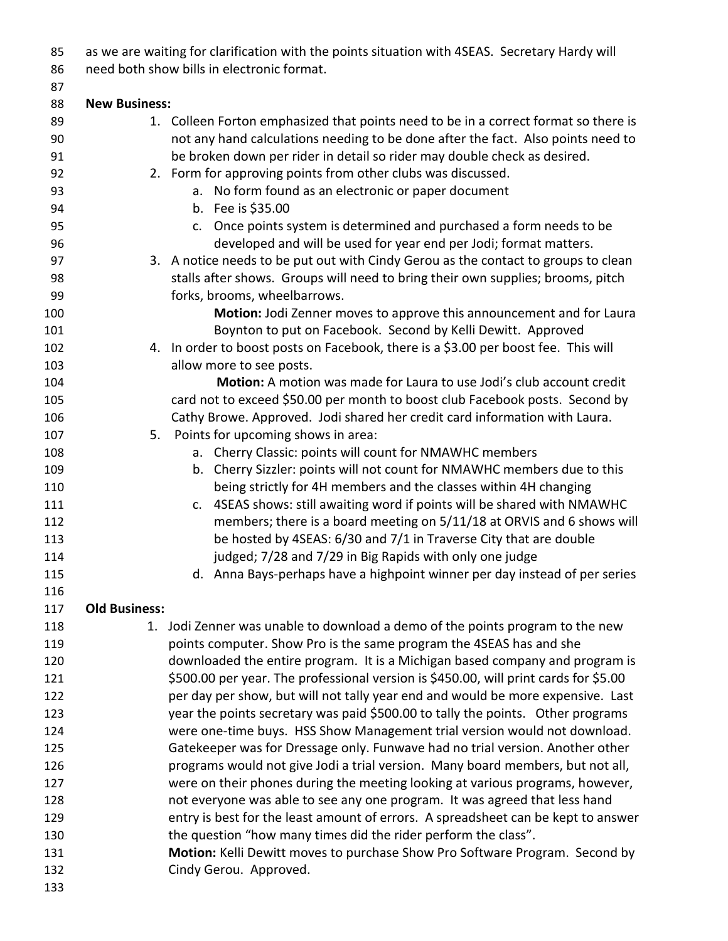| 85         | as we are waiting for clarification with the points situation with 4SEAS. Secretary Hardy will                                              |
|------------|---------------------------------------------------------------------------------------------------------------------------------------------|
| 86         | need both show bills in electronic format.                                                                                                  |
| 87         |                                                                                                                                             |
| 88         | <b>New Business:</b>                                                                                                                        |
| 89         | 1. Colleen Forton emphasized that points need to be in a correct format so there is                                                         |
| 90         | not any hand calculations needing to be done after the fact. Also points need to                                                            |
| 91         | be broken down per rider in detail so rider may double check as desired.                                                                    |
| 92         | 2. Form for approving points from other clubs was discussed.                                                                                |
| 93         | a. No form found as an electronic or paper document                                                                                         |
| 94         | b. Fee is \$35.00                                                                                                                           |
| 95         | c. Once points system is determined and purchased a form needs to be                                                                        |
| 96         | developed and will be used for year end per Jodi; format matters.                                                                           |
| 97         | 3. A notice needs to be put out with Cindy Gerou as the contact to groups to clean                                                          |
| 98         | stalls after shows. Groups will need to bring their own supplies; brooms, pitch                                                             |
| 99         | forks, brooms, wheelbarrows.                                                                                                                |
| 100        | Motion: Jodi Zenner moves to approve this announcement and for Laura                                                                        |
| 101        | Boynton to put on Facebook. Second by Kelli Dewitt. Approved                                                                                |
| 102        | 4. In order to boost posts on Facebook, there is a \$3.00 per boost fee. This will                                                          |
| 103        | allow more to see posts.                                                                                                                    |
| 104        | Motion: A motion was made for Laura to use Jodi's club account credit                                                                       |
| 105        | card not to exceed \$50.00 per month to boost club Facebook posts. Second by                                                                |
| 106        | Cathy Browe. Approved. Jodi shared her credit card information with Laura.                                                                  |
| 107        | Points for upcoming shows in area:<br>5.                                                                                                    |
| 108        | a. Cherry Classic: points will count for NMAWHC members                                                                                     |
| 109<br>110 | b. Cherry Sizzler: points will not count for NMAWHC members due to this<br>being strictly for 4H members and the classes within 4H changing |
| 111        | c. 4SEAS shows: still awaiting word if points will be shared with NMAWHC                                                                    |
| 112        | members; there is a board meeting on 5/11/18 at ORVIS and 6 shows will                                                                      |
| 113        | be hosted by 4SEAS: 6/30 and 7/1 in Traverse City that are double                                                                           |
| 114        | judged; 7/28 and 7/29 in Big Rapids with only one judge                                                                                     |
| 115        | d. Anna Bays-perhaps have a highpoint winner per day instead of per series                                                                  |
| 116        |                                                                                                                                             |
| 117        | <b>Old Business:</b>                                                                                                                        |
| 118        | 1. Jodi Zenner was unable to download a demo of the points program to the new                                                               |
| 119        | points computer. Show Pro is the same program the 4SEAS has and she                                                                         |
| 120        | downloaded the entire program. It is a Michigan based company and program is                                                                |
| 121        | \$500.00 per year. The professional version is \$450.00, will print cards for \$5.00                                                        |
| 122        | per day per show, but will not tally year end and would be more expensive. Last                                                             |
| 123        | year the points secretary was paid \$500.00 to tally the points. Other programs                                                             |
| 124        | were one-time buys. HSS Show Management trial version would not download.                                                                   |
| 125        | Gatekeeper was for Dressage only. Funwave had no trial version. Another other                                                               |
| 126        | programs would not give Jodi a trial version. Many board members, but not all,                                                              |
| 127        | were on their phones during the meeting looking at various programs, however,                                                               |
| 128        | not everyone was able to see any one program. It was agreed that less hand                                                                  |
| 129        | entry is best for the least amount of errors. A spreadsheet can be kept to answer                                                           |
| 130        | the question "how many times did the rider perform the class".                                                                              |
| 131        | Motion: Kelli Dewitt moves to purchase Show Pro Software Program. Second by                                                                 |
| 132        | Cindy Gerou. Approved.                                                                                                                      |
| 133        |                                                                                                                                             |